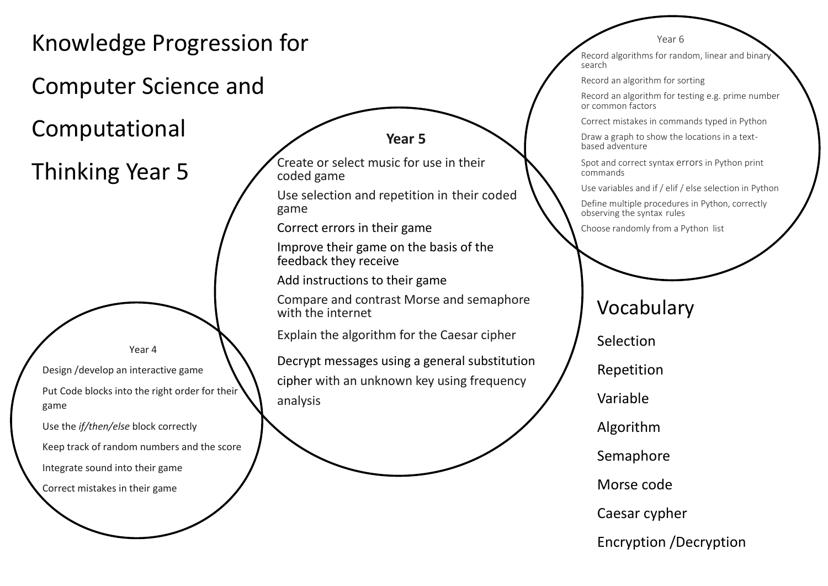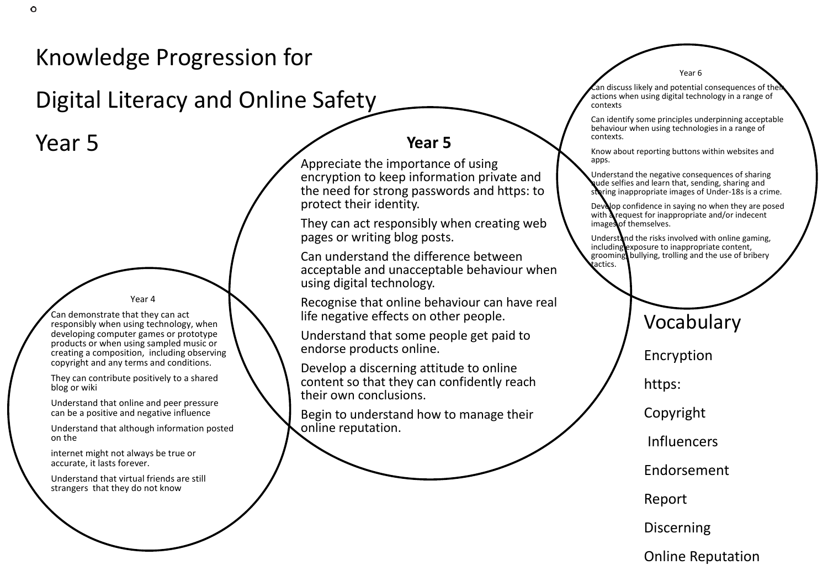## Knowledge Progression for

Digital Literacy and Online Safety

Year 5 **Year 5** 

Year 4

Can demonstrate that they can act responsibly when using technology, when developing computer games or prototype products or when using sampled music or creating a composition, including observing copyright and any terms and conditions.

They can contribute positively to a shared blog or wiki

Understand that online and peer pressure can be a positive and negative influence

Understand that although information posted on the

internet might not always be true or accurate, it lasts forever.

Understand that virtual friends are still strangers that they do not know

Appreciate the importance of using encryption to keep information private and the need for strong passwords and https: to protect their identity.

They can act responsibly when creating web pages or writing blog posts.

Can understand the difference between acceptable and unacceptable behaviour when using digital technology.

Recognise that online behaviour can have real life negative effects on other people.

Understand that some people get paid to endorse products online.

Develop a discerning attitude to online content so that they can confidently reach their own conclusions.

Begin to understand how to manage their online reputation.

 $\epsilon$ an discuss likely and potential consequences of their actions when using digital technology in a range of contexts

Year 6

Can identify some principles underpinning acceptable behaviour when using technologies in a range of contexts.

Know about reporting buttons within websites and apps.

Understand the negative consequences of sharing nude selfies and learn that, sending, sharing and storing inappropriate images of Under-18s is a crime.

Develop confidence in saying no when they are posed with **a** request for inappropriate and/or indecent images of themselves.

Understand the risks involved with online gaming, including exposure to inappropriate content, grooming, bullying, trolling and the use of bribery tactics.

Vocabulary

Encryption

https:

Copyright

**Influencers** 

Endorsement

Report

Discerning

Online Reputation